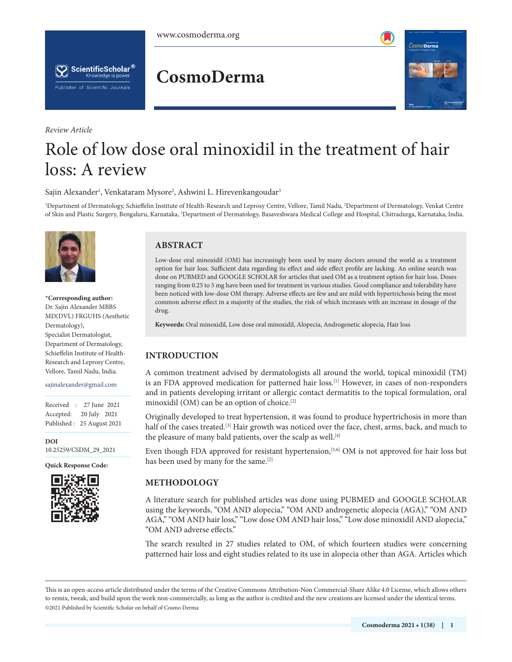

*Review Article*

## **CosmoDerma**



# Role of low dose oral minoxidil in the treatment of hair loss: A review

Sajin Alexander<sup>1</sup>, Venkataram Mysore<sup>2</sup>, Ashwini L. Hirevenkangoudar<sup>3</sup>

1 Department of Dermatology, Schieffelin Institute of Health-Research and Leprosy Centre, Vellore, Tamil Nadu, 2 Department of Dermatology, Venkat Centre of Skin and Plastic Surgery, Bengaluru, Karnataka, <sup>3</sup>Department of Dermatology, Basaveshwara Medical College and Hospital, Chitradurga, Karnataka, India.



**\*Corresponding author:** Dr. Sajin Alexander MBBS MD(DVL) FRGUHS (Aesthetic Dermatology), Specialist Dermatologist, Department of Dermatology, Schieffelin Institute of Health-Research and Leprosy Centre, Vellore, Tamil Nadu, India.

#### sajinalexander@gmail.com

Received : 27 June 2021 Accepted: 20 July 2021 Published : 25 August 2021

**DOI** [10.25259/CSDM\\_29\\_2021](https://dx.doi.org/10.25259/CSDM_29_2021)

**Quick Response Code:**



#### **ABSTRACT**

Low-dose oral minoxidil (OM) has increasingly been used by many doctors around the world as a treatment option for hair loss. Sufficient data regarding its effect and side effect profile are lacking. An online search was done on PUBMED and GOOGLE SCHOLAR for articles that used OM as a treatment option for hair loss. Doses ranging from 0.25 to 5 mg have been used for treatment in various studies. Good compliance and tolerability have been noticed with low-dose OM therapy. Adverse effects are few and are mild with hypertrichosis being the most common adverse effect in a majority of the studies, the risk of which increases with an increase in dosage of the drug.

**Keywords:** Oral minoxidil, Low dose oral minoxidil, Alopecia, Androgenetic alopecia, Hair loss

### **INTRODUCTION**

A common treatment advised by dermatologists all around the world, topical minoxidil (TM) is an FDA approved medication for patterned hair loss.<sup>[1]</sup> However, in cases of non-responders and in patients developing irritant or allergic contact dermatitis to the topical formulation, oral minoxidil (OM) can be an option of choice.[2]

Originally developed to treat hypertension, it was found to produce hypertrichosis in more than half of the cases treated.<sup>[3]</sup> Hair growth was noticed over the face, chest, arms, back, and much to the pleasure of many bald patients, over the scalp as well.<sup>[4]</sup>

Even though FDA approved for resistant hypertension,<sup>[5,6]</sup> OM is not approved for hair loss but has been used by many for the same.<sup>[2]</sup>

### **METHODOLOGY**

A literature search for published articles was done using PUBMED and GOOGLE SCHOLAR using the keywords, "OM AND alopecia," "OM AND androgenetic alopecia (AGA)," "OM AND AGA," "OM AND hair loss," "Low dose OM AND hair loss," "Low dose minoxidil AND alopecia," "OM AND adverse effects."

The search resulted in 27 studies related to OM, of which fourteen studies were concerning patterned hair loss and eight studies related to its use in alopecia other than AGA. Articles which

is is an open-access article distributed under the terms of the Creative Commons Attribution-Non Commercial-Share Alike 4.0 License, which allows others to remix, tweak, and build upon the work non-commercially, as long as the author is credited and the new creations are licensed under the identical terms. ©2021 Published by Scientific Scholar on behalf of Cosmo Derma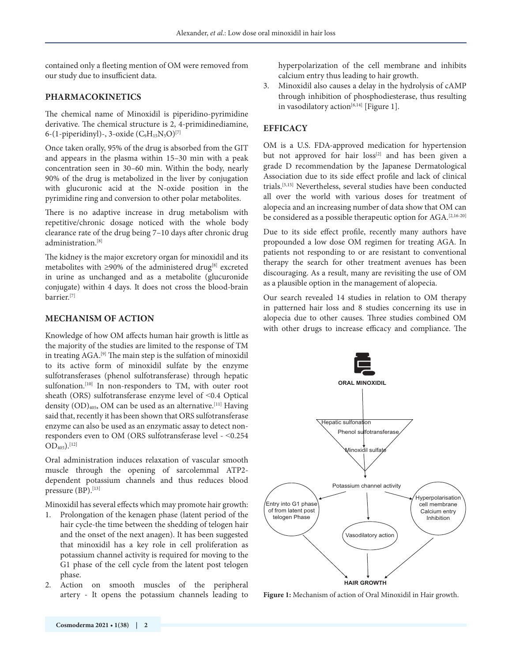contained only a fleeting mention of OM were removed from our study due to insufficient data.

#### **PHARMACOKINETICS**

The chemical name of Minoxidil is piperidino-pyrimidine derivative. The chemical structure is 2, 4-primidinediamine, 6-(1-piperidinyl)-, 3-oxide  $(C_9H_{15}N_5O)^{[7]}$ 

Once taken orally, 95% of the drug is absorbed from the GIT and appears in the plasma within 15–30 min with a peak concentration seen in 30–60 min. Within the body, nearly 90% of the drug is metabolized in the liver by conjugation with glucuronic acid at the N-oxide position in the pyrimidine ring and conversion to other polar metabolites.

There is no adaptive increase in drug metabolism with repetitive/chronic dosage noticed with the whole body clearance rate of the drug being 7–10 days after chronic drug administration.<sup>[8]</sup>

The kidney is the major excretory organ for minoxidil and its metabolites with  $\geq$ 90% of the administered drug<sup>[8]</sup> excreted in urine as unchanged and as a metabolite (glucuronide conjugate) within 4 days. It does not cross the blood-brain barrier.[7]

#### **MECHANISM OF ACTION**

Knowledge of how OM affects human hair growth is little as the majority of the studies are limited to the response of TM in treating AGA.[9] The main step is the sulfation of minoxidil to its active form of minoxidil sulfate by the enzyme sulfotransferases (phenol sulfotransferase) through hepatic sulfonation.<sup>[10]</sup> In non-responders to TM, with outer root sheath (ORS) sulfotransferase enzyme level of ˂0.4 Optical density (OD)<sub>405</sub>, OM can be used as an alternative.<sup>[11]</sup> Having said that, recently it has been shown that ORS sulfotransferase enzyme can also be used as an enzymatic assay to detect nonresponders even to OM (ORS sulfotransferase level - ˂0.254  $OD<sub>405</sub>$ ).[12]

Oral administration induces relaxation of vascular smooth muscle through the opening of sarcolemmal ATP2 dependent potassium channels and thus reduces blood pressure (BP).<sup>[13]</sup>

Minoxidil has several effects which may promote hair growth:

- 1. Prolongation of the kenagen phase (latent period of the hair cycle-the time between the shedding of telogen hair and the onset of the next anagen). It has been suggested that minoxidil has a key role in cell proliferation as potassium channel activity is required for moving to the G1 phase of the cell cycle from the latent post telogen phase.
- 2. Action on smooth muscles of the peripheral artery - It opens the potassium channels leading to

hyperpolarization of the cell membrane and inhibits calcium entry thus leading to hair growth.

3. Minoxidil also causes a delay in the hydrolysis of cAMP through inhibition of phosphodiesterase, thus resulting in vasodilatory action<sup>[6,14]</sup> [Figure 1].

#### **EFFICACY**

OM is a U.S. FDA-approved medication for hypertension but not approved for hair loss<sup>[2]</sup> and has been given a grade D recommendation by the Japanese Dermatological Association due to its side effect profile and lack of clinical trials.[5,15] Nevertheless, several studies have been conducted all over the world with various doses for treatment of alopecia and an increasing number of data show that OM can be considered as a possible therapeutic option for AGA.[2,16-20]

Due to its side effect profile, recently many authors have propounded a low dose OM regimen for treating AGA. In patients not responding to or are resistant to conventional therapy the search for other treatment avenues has been discouraging. As a result, many are revisiting the use of OM as a plausible option in the management of alopecia.

Our search revealed 14 studies in relation to OM therapy in patterned hair loss and 8 studies concerning its use in alopecia due to other causes. Three studies combined OM with other drugs to increase efficacy and compliance. The



**Figure 1:** Mechanism of action of Oral Minoxidil in Hair growth.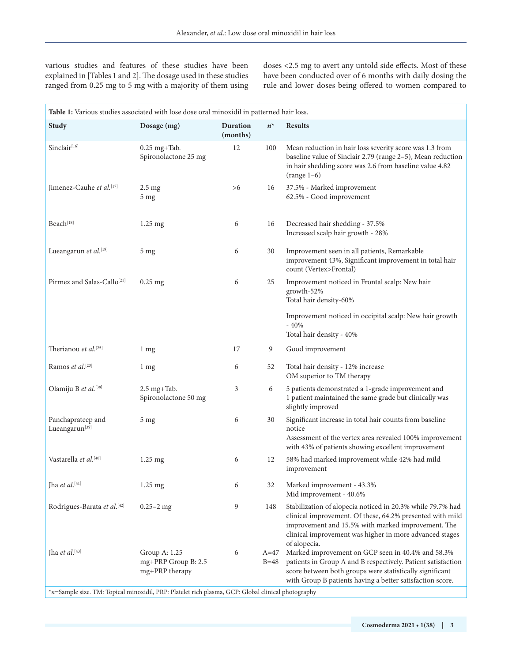various studies and features of these studies have been explained in [Tables 1 and 2]. The dosage used in these studies ranged from 0.25 mg to 5 mg with a majority of them using

doses <2.5 mg to avert any untold side effects. Most of these have been conducted over of 6 months with daily dosing the rule and lower doses being offered to women compared to

| Table 1: Various studies associated with lose dose oral minoxidil in patterned hair loss.          |                                                        |                             |                  |                                                                                                                                                                                                                                                          |  |  |  |
|----------------------------------------------------------------------------------------------------|--------------------------------------------------------|-----------------------------|------------------|----------------------------------------------------------------------------------------------------------------------------------------------------------------------------------------------------------------------------------------------------------|--|--|--|
| <b>Study</b>                                                                                       | Dosage (mg)                                            | <b>Duration</b><br>(months) | $n^*$            | <b>Results</b>                                                                                                                                                                                                                                           |  |  |  |
| Sinclair <sup>[16]</sup>                                                                           | $0.25$ mg+Tab.<br>Spironolactone 25 mg                 | 12                          | 100              | Mean reduction in hair loss severity score was 1.3 from<br>baseline value of Sinclair 2.79 (range 2-5), Mean reduction<br>in hair shedding score was 2.6 from baseline value 4.82<br>$(range 1-6)$                                                       |  |  |  |
| Jimenez-Cauhe et al. <sup>[17]</sup>                                                               | $2.5 \text{ mg}$<br>5 <sub>mg</sub>                    | >6                          | 16               | 37.5% - Marked improvement<br>62.5% - Good improvement                                                                                                                                                                                                   |  |  |  |
| Beach[18]                                                                                          | $1.25$ mg                                              | 6                           | 16               | Decreased hair shedding - 37.5%<br>Increased scalp hair growth - 28%                                                                                                                                                                                     |  |  |  |
| Lueangarun et al.[19]                                                                              | 5 <sub>mg</sub>                                        | 6                           | 30               | Improvement seen in all patients, Remarkable<br>improvement 43%, Significant improvement in total hair<br>count (Vertex>Frontal)                                                                                                                         |  |  |  |
| Pirmez and Salas-Callo <sup>[21]</sup>                                                             | $0.25$ mg                                              | 6                           | 25               | Improvement noticed in Frontal scalp: New hair<br>growth-52%<br>Total hair density-60%                                                                                                                                                                   |  |  |  |
|                                                                                                    |                                                        |                             |                  | Improvement noticed in occipital scalp: New hair growth<br>$-40%$<br>Total hair density - 40%                                                                                                                                                            |  |  |  |
| Therianou et al.[25]                                                                               | 1 <sub>mg</sub>                                        | 17                          | 9                | Good improvement                                                                                                                                                                                                                                         |  |  |  |
| Ramos et al.[23]                                                                                   | 1 <sub>mg</sub>                                        | 6                           | 52               | Total hair density - 12% increase<br>OM superior to TM therapy                                                                                                                                                                                           |  |  |  |
| Olamiju B et al.[38]                                                                               | 2.5 mg+Tab.<br>Spironolactone 50 mg                    | 3                           | 6                | 5 patients demonstrated a 1-grade improvement and<br>1 patient maintained the same grade but clinically was<br>slightly improved                                                                                                                         |  |  |  |
| Panchaprateep and<br>Lueangarun <sup>[39]</sup>                                                    | 5 mg                                                   | 6                           | 30               | Significant increase in total hair counts from baseline<br>notice<br>Assessment of the vertex area revealed 100% improvement<br>with 43% of patients showing excellent improvement                                                                       |  |  |  |
| Vastarella et al.[40]                                                                              | 1.25 mg                                                | 6                           | 12               | 58% had marked improvement while 42% had mild<br>improvement                                                                                                                                                                                             |  |  |  |
| Jha et al.[41]                                                                                     | 1.25 mg                                                | 6                           | 32               | Marked improvement - 43.3%<br>Mid improvement - 40.6%                                                                                                                                                                                                    |  |  |  |
| Rodrigues-Barata et al.[42]                                                                        | $0.25 - 2$ mg                                          | 9                           | 148              | Stabilization of alopecia noticed in 20.3% while 79.7% had<br>clinical improvement. Of these, 64.2% presented with mild<br>improvement and 15.5% with marked improvement. The<br>clinical improvement was higher in more advanced stages<br>of alopecia. |  |  |  |
| Jha et al. $[43]$                                                                                  | Group A: 1.25<br>mg+PRP Group B: 2.5<br>mg+PRP therapy | 6                           | $A=47$<br>$B=48$ | Marked improvement on GCP seen in 40.4% and 58.3%<br>patients in Group A and B respectively. Patient satisfaction<br>score between both groups were statistically significant<br>with Group B patients having a better satisfaction score.               |  |  |  |
| *n=Sample size. TM: Topical minoxidil, PRP: Platelet rich plasma, GCP: Global clinical photography |                                                        |                             |                  |                                                                                                                                                                                                                                                          |  |  |  |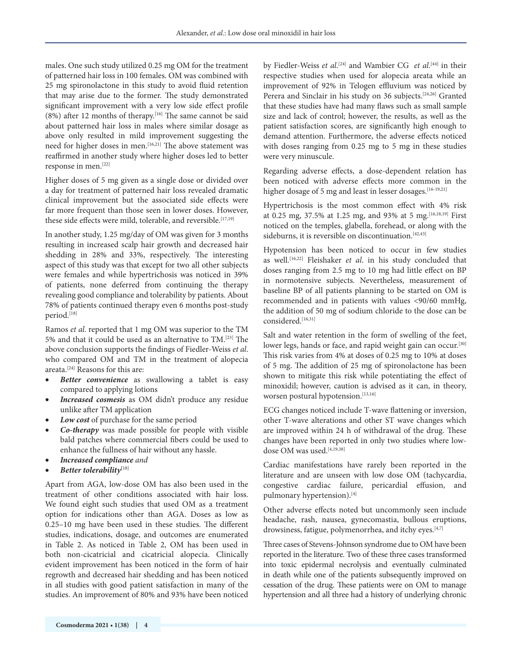males. One such study utilized 0.25 mg OM for the treatment of patterned hair loss in 100 females. OM was combined with 25 mg spironolactone in this study to avoid fluid retention that may arise due to the former. The study demonstrated significant improvement with a very low side effect profile (8%) after 12 months of therapy.[16] The same cannot be said about patterned hair loss in males where similar dosage as above only resulted in mild improvement suggesting the need for higher doses in men.<sup>[16,21]</sup> The above statement was reaffirmed in another study where higher doses led to better response in men.[22]

Higher doses of 5 mg given as a single dose or divided over a day for treatment of patterned hair loss revealed dramatic clinical improvement but the associated side effects were far more frequent than those seen in lower doses. However, these side effects were mild, tolerable, and reversible.<sup>[17,19]</sup>

In another study, 1.25 mg/day of OM was given for 3 months resulting in increased scalp hair growth and decreased hair shedding in 28% and 33%, respectively. The interesting aspect of this study was that except for two all other subjects were females and while hypertrichosis was noticed in 39% of patients, none deferred from continuing the therapy revealing good compliance and tolerability by patients. About 78% of patients continued therapy even 6 months post-study period.<sup>[18]</sup>

Ramos *et al*. reported that 1 mg OM was superior to the TM 5% and that it could be used as an alternative to TM.[23] The above conclusion supports the findings of Fiedler-Weiss *et al*. who compared OM and TM in the treatment of alopecia areata.[24] Reasons for this are:

- **Better convenience** as swallowing a tablet is easy compared to applying lotions
- *Increased cosmesis* as OM didn't produce any residue unlike after TM application
- Low cost of purchase for the same period
- *Co-therapy* was made possible for people with visible bald patches where commercial fibers could be used to enhance the fullness of hair without any hassle.
- *Increased compliance and*
- *Better tolerability***[**18]

Apart from AGA, low-dose OM has also been used in the treatment of other conditions associated with hair loss. We found eight such studies that used OM as a treatment option for indications other than AGA. Doses as low as 0.25–10 mg have been used in these studies. The different studies, indications, dosage, and outcomes are enumerated in Table 2. As noticed in Table 2, OM has been used in both non-cicatricial and cicatricial alopecia. Clinically evident improvement has been noticed in the form of hair regrowth and decreased hair shedding and has been noticed in all studies with good patient satisfaction in many of the studies. An improvement of 80% and 93% have been noticed

by Fiedler-Weiss *et al*. [24] and Wambier CG *et al*. [44] in their respective studies when used for alopecia areata while an improvement of 92% in Telogen effluvium was noticed by Perera and Sinclair in his study on 36 subjects.<sup>[24,26]</sup> Granted that these studies have had many flaws such as small sample size and lack of control; however, the results, as well as the patient satisfaction scores, are significantly high enough to demand attention. Furthermore, the adverse effects noticed with doses ranging from 0.25 mg to 5 mg in these studies were very minuscule.

Regarding adverse effects, a dose-dependent relation has been noticed with adverse effects more common in the higher dosage of 5 mg and least in lesser dosages.<sup>[16-19,21]</sup>

Hypertrichosis is the most common effect with 4% risk at 0.25 mg, 37.5% at 1.25 mg, and 93% at 5 mg.[16,18,19] First noticed on the temples, glabella, forehead, or along with the sideburns, it is reversible on discontinuation.<sup>[42,43]</sup>

Hypotension has been noticed to occur in few studies as well.[16,22] Fleishaker *et al*. in his study concluded that doses ranging from 2.5 mg to 10 mg had little effect on BP in normotensive subjects. Nevertheless, measurement of baseline BP of all patients planning to be started on OM is recommended and in patients with values <90/60 mmHg, the addition of 50 mg of sodium chloride to the dose can be considered.[16,31]

Salt and water retention in the form of swelling of the feet, lower legs, hands or face, and rapid weight gain can occur.<sup>[30]</sup> This risk varies from 4% at doses of 0.25 mg to 10% at doses of 5 mg. The addition of 25 mg of spironolactone has been shown to mitigate this risk while potentiating the effect of minoxidil; however, caution is advised as it can, in theory, worsen postural hypotension.<sup>[13,16]</sup>

ECG changes noticed include T-wave flattening or inversion, other T-wave alterations and other ST wave changes which are improved within 24 h of withdrawal of the drug. These changes have been reported in only two studies where lowdose OM was used.<sup>[4,19,38]</sup>

Cardiac manifestations have rarely been reported in the literature and are unseen with low dose OM (tachycardia, congestive cardiac failure, pericardial effusion, and pulmonary hypertension).<sup>[4]</sup>

Other adverse effects noted but uncommonly seen include headache, rash, nausea, gynecomastia, bullous eruptions, drowsiness, fatigue, polymenorrhea, and itchy eyes.<sup>[4,7]</sup>

Three cases of Stevens-Johnson syndrome due to OM have been reported in the literature. Two of these three cases transformed into toxic epidermal necrolysis and eventually culminated in death while one of the patients subsequently improved on cessation of the drug. These patients were on OM to manage hypertension and all three had a history of underlying chronic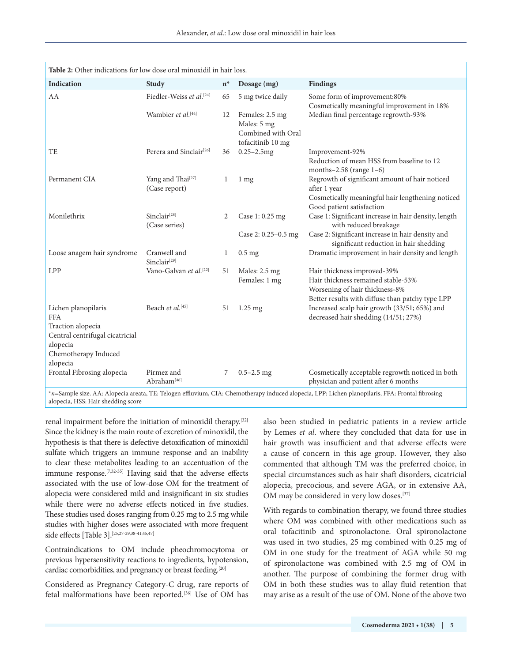| <b>Table 2:</b> Other indications for low dose oral minoxidil in hair loss. |                                           |             |                                                                           |                                                                                                                                                  |  |  |
|-----------------------------------------------------------------------------|-------------------------------------------|-------------|---------------------------------------------------------------------------|--------------------------------------------------------------------------------------------------------------------------------------------------|--|--|
| <b>Indication</b>                                                           | Study                                     | $n^*$       | Dosage (mg)                                                               | <b>Findings</b>                                                                                                                                  |  |  |
| AA                                                                          | Fiedler-Weiss et al.[24]                  | 65          | 5 mg twice daily                                                          | Some form of improvement:80%<br>Cosmetically meaningful improvement in 18%                                                                       |  |  |
|                                                                             | Wambier et al. <sup>[44]</sup>            | 12          | Females: 2.5 mg<br>Males: 5 mg<br>Combined with Oral<br>tofacitinib 10 mg | Median final percentage regrowth-93%                                                                                                             |  |  |
| TE                                                                          | Perera and Sinclair <sup>[26]</sup>       | 36          | $0.25 - 2.5$ mg                                                           | Improvement-92%<br>Reduction of mean HSS from baseline to 12<br>months $-2.58$ (range $1-6$ )                                                    |  |  |
| Permanent CIA                                                               | Yang and Thai<br>[27]<br>(Case report)    | $\mathbf 1$ | 1 <sub>mg</sub>                                                           | Regrowth of significant amount of hair noticed<br>after 1 year                                                                                   |  |  |
|                                                                             |                                           |             |                                                                           | Cosmetically meaningful hair lengthening noticed<br>Good patient satisfaction                                                                    |  |  |
| Monilethrix                                                                 | Sinclair <sup>[28]</sup><br>(Case series) | 2           | Case 1: 0.25 mg                                                           | Case 1: Significant increase in hair density, length<br>with reduced breakage                                                                    |  |  |
|                                                                             |                                           |             | Case 2: $0.25 - 0.5$ mg                                                   | Case 2: Significant increase in hair density and<br>significant reduction in hair shedding                                                       |  |  |
| Loose anagem hair syndrome                                                  | Cranwell and<br>Sinclair $[29]$           | 1           | $0.5$ mg                                                                  | Dramatic improvement in hair density and length                                                                                                  |  |  |
| <b>LPP</b>                                                                  | Vano-Galvan et al.[22]                    | 51          | Males: 2.5 mg                                                             | Hair thickness improved-39%                                                                                                                      |  |  |
|                                                                             |                                           |             | Females: 1 mg                                                             | Hair thickness remained stable-53%                                                                                                               |  |  |
|                                                                             |                                           |             |                                                                           | Worsening of hair thickness-8%                                                                                                                   |  |  |
| Lichen planopilaris                                                         | Beach et al. <sup>[45]</sup>              | 51          | $1.25$ mg                                                                 | Better results with diffuse than patchy type LPP<br>Increased scalp hair growth (33/51; 65%) and                                                 |  |  |
| <b>FFA</b>                                                                  |                                           |             |                                                                           | decreased hair shedding (14/51; 27%)                                                                                                             |  |  |
| Traction alopecia                                                           |                                           |             |                                                                           |                                                                                                                                                  |  |  |
| Central centrifugal cicatricial                                             |                                           |             |                                                                           |                                                                                                                                                  |  |  |
| alopecia                                                                    |                                           |             |                                                                           |                                                                                                                                                  |  |  |
| Chemotherapy Induced                                                        |                                           |             |                                                                           |                                                                                                                                                  |  |  |
| alopecia<br>Frontal Fibrosing alopecia                                      | Pirmez and                                | 7           | $0.5 - 2.5$ mg                                                            | Cosmetically acceptable regrowth noticed in both                                                                                                 |  |  |
|                                                                             | Abraham <sup>[46]</sup>                   |             |                                                                           | physician and patient after 6 months                                                                                                             |  |  |
|                                                                             |                                           |             |                                                                           | *n=Sample size. AA: Alopecia areata, TE: Telogen effluvium, CIA: Chemotherapy induced alopecia, LPP: Lichen planopilaris, FFA: Frontal fibrosing |  |  |

alopecia, HSS: Hair shedding score

renal impairment before the initiation of minoxidil therapy.[32] Since the kidney is the main route of excretion of minoxidil, the hypothesis is that there is defective detoxification of minoxidil sulfate which triggers an immune response and an inability to clear these metabolites leading to an accentuation of the immune response.[7,32-35] Having said that the adverse effects associated with the use of low-dose OM for the treatment of alopecia were considered mild and insignificant in six studies while there were no adverse effects noticed in five studies. These studies used doses ranging from 0.25 mg to 2.5 mg while studies with higher doses were associated with more frequent side effects [Table 3].[25,27-29,38-41,45,47]

Contraindications to OM include pheochromocytoma or previous hypersensitivity reactions to ingredients, hypotension, cardiac comorbidities, and pregnancy or breast feeding.[20]

Considered as Pregnancy Category-C drug, rare reports of fetal malformations have been reported.[36] Use of OM has also been studied in pediatric patients in a review article by Lemes *et al*. where they concluded that data for use in hair growth was insufficient and that adverse effects were a cause of concern in this age group. However, they also commented that although TM was the preferred choice, in special circumstances such as hair shaft disorders, cicatricial alopecia, precocious, and severe AGA, or in extensive AA, OM may be considered in very low doses.<sup>[37]</sup>

With regards to combination therapy, we found three studies where OM was combined with other medications such as oral tofacitinib and spironolactone. Oral spironolactone was used in two studies, 25 mg combined with 0.25 mg of OM in one study for the treatment of AGA while 50 mg of spironolactone was combined with 2.5 mg of OM in another. The purpose of combining the former drug with OM in both these studies was to allay fluid retention that may arise as a result of the use of OM. None of the above two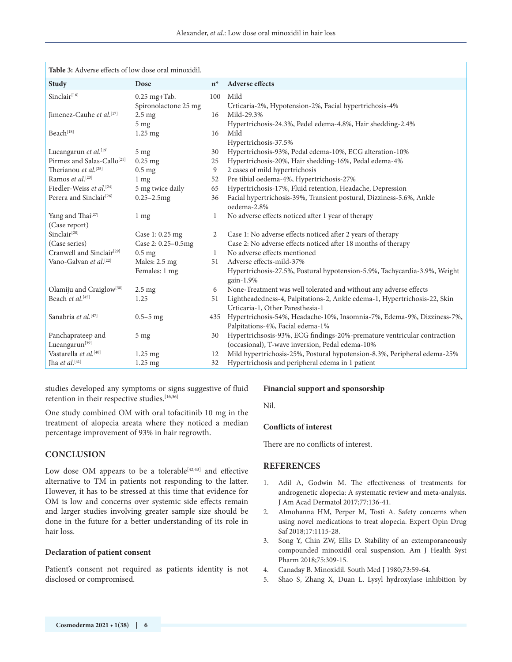| <b>Table 3:</b> Adverse effects of low dose oral minoxidil. |                      |       |                                                                                        |  |  |  |
|-------------------------------------------------------------|----------------------|-------|----------------------------------------------------------------------------------------|--|--|--|
| Study                                                       | Dose                 | $n^*$ | <b>Adverse effects</b>                                                                 |  |  |  |
| Sinclair <sup>[16]</sup>                                    | $0.25$ mg+Tab.       | 100   | Mild                                                                                   |  |  |  |
|                                                             | Spironolactone 25 mg |       | Urticaria-2%, Hypotension-2%, Facial hypertrichosis-4%                                 |  |  |  |
| Jimenez-Cauhe et al.[17]                                    | $2.5 \text{ mg}$     | 16    | Mild-29.3%                                                                             |  |  |  |
|                                                             | 5 <sub>mg</sub>      |       | Hypertrichosis-24.3%, Pedel edema-4.8%, Hair shedding-2.4%                             |  |  |  |
| Beach <sup>[18]</sup>                                       | $1.25 \text{ mg}$    | 16    | Mild                                                                                   |  |  |  |
|                                                             |                      |       | Hypertrichosis-37.5%                                                                   |  |  |  |
| Lueangarun et al.[19]                                       | 5 <sub>mg</sub>      | 30    | Hypertrichosis-93%, Pedal edema-10%, ECG alteration-10%                                |  |  |  |
| Pirmez and Salas-Callo <sup>[21]</sup>                      | $0.25$ mg            | 25    | Hypertrichosis-20%, Hair shedding-16%, Pedal edema-4%                                  |  |  |  |
| Therianou et al. <sup>[25]</sup><br>Ramos et al.[23]        | $0.5$ mg             | 9     | 2 cases of mild hypertrichosis                                                         |  |  |  |
| Fiedler-Weiss et al. <sup>[24]</sup>                        | $1 \text{ mg}$       | 52    | Pre tibial oedema-4%, Hypertrichosis-27%                                               |  |  |  |
|                                                             | 5 mg twice daily     | 65    | Hypertrichosis-17%, Fluid retention, Headache, Depression                              |  |  |  |
| Perera and Sinclair <sup>[26]</sup>                         | $0.25 - 2.5$ mg      | 36    | Facial hypertrichosis-39%, Transient postural, Dizziness-5.6%, Ankle<br>oedema-2.8%    |  |  |  |
| Yang and Thai <sup>[27]</sup>                               | $1 \text{ mg}$       | 1     | No adverse effects noticed after 1 year of therapy                                     |  |  |  |
| (Case report)                                               |                      |       |                                                                                        |  |  |  |
| Sinclair <sup>[28]</sup>                                    | Case 1: 0.25 mg      | 2     | Case 1: No adverse effects noticed after 2 years of therapy                            |  |  |  |
| (Case series)                                               | Case 2: 0.25-0.5mg   |       | Case 2: No adverse effects noticed after 18 months of therapy                          |  |  |  |
| Cranwell and Sinclair <sup>[29]</sup>                       | $0.5$ mg             | 1     | No adverse effects mentioned                                                           |  |  |  |
| Vano-Galvan et al. <sup>[22]</sup>                          | Males: 2.5 mg        | 51    | Adverse effects-mild-37%                                                               |  |  |  |
|                                                             | Females: 1 mg        |       | Hypertrichosis-27.5%, Postural hypotension-5.9%, Tachycardia-3.9%, Weight<br>gain-1.9% |  |  |  |
| Olamiju and Craiglow <sup>[38]</sup>                        | $2.5 \text{ mg}$     | 6     | None-Treatment was well tolerated and without any adverse effects                      |  |  |  |
| Beach et al. <sup>[45]</sup>                                | 1.25                 | 51    | Lightheadedness-4, Palpitations-2, Ankle edema-1, Hypertrichosis-22, Skin              |  |  |  |
|                                                             |                      |       | Urticaria-1, Other Paresthesia-1                                                       |  |  |  |
| Sanabria et al. <sup>[47]</sup>                             | $0.5 - 5$ mg         | 435   | Hypertrichosis-54%, Headache-10%, Insomnia-7%, Edema-9%, Dizziness-7%,                 |  |  |  |
|                                                             |                      |       | Palpitations-4%, Facial edema-1%                                                       |  |  |  |
| Panchaprateep and                                           | 5 <sub>mg</sub>      | 30    | Hypertrichsosis-93%, ECG findings-20%-premature ventricular contraction                |  |  |  |
| Lueangarun <sup>[39]</sup>                                  |                      |       | (occasional), T-wave inversion, Pedal edema-10%                                        |  |  |  |
| Vastarella et al. <sup>[40]</sup>                           | $1.25 \text{ mg}$    | 12    | Mild hypertrichosis-25%, Postural hypotension-8.3%, Peripheral edema-25%               |  |  |  |
| Jha et al.[41]                                              | $1.25$ mg            | 32    | Hypertrichosis and peripheral edema in 1 patient                                       |  |  |  |

studies developed any symptoms or signs suggestive of fluid retention in their respective studies.<sup>[16,36]</sup>

One study combined OM with oral tofacitinib 10 mg in the treatment of alopecia areata where they noticed a median percentage improvement of 93% in hair regrowth.

#### **CONCLUSION**

Low dose OM appears to be a tolerable<sup>[42,43]</sup> and effective alternative to TM in patients not responding to the latter. However, it has to be stressed at this time that evidence for OM is low and concerns over systemic side effects remain and larger studies involving greater sample size should be done in the future for a better understanding of its role in hair loss.

#### **Declaration of patient consent**

Patient's consent not required as patients identity is not disclosed or compromised.

#### **Financial support and sponsorship**

Nil.

#### **Conflicts of interest**

There are no conflicts of interest.

#### **REFERENCES**

- 1. Adil A, Godwin M. The effectiveness of treatments for androgenetic alopecia: A systematic review and meta-analysis. J Am Acad Dermatol 2017;77:136-41.
- 2. Almohanna HM, Perper M, Tosti A. Safety concerns when using novel medications to treat alopecia. Expert Opin Drug Saf 2018;17:1115-28.
- 3. Song Y, Chin ZW, Ellis D. Stability of an extemporaneously compounded minoxidil oral suspension. Am J Health Syst Pharm 2018;75:309-15.
- 4. Canaday B. Minoxidil. South Med J 1980;73:59-64.
- 5. Shao S, Zhang X, Duan L. Lysyl hydroxylase inhibition by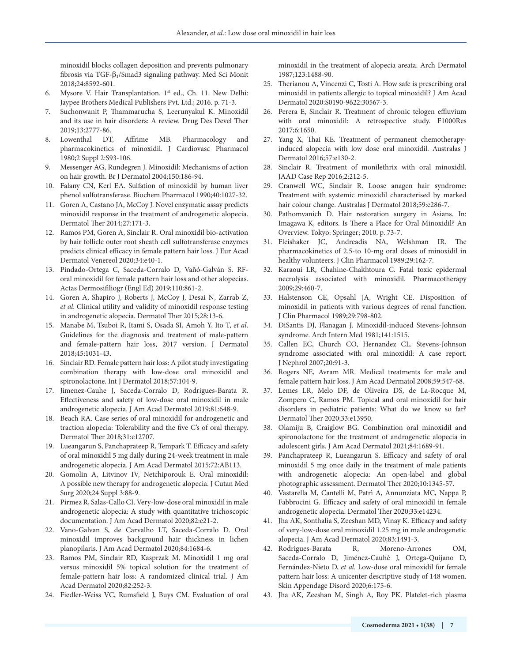minoxidil blocks collagen deposition and prevents pulmonary fibrosis via TGF-β₁/Smad3 signaling pathway. Med Sci Monit 2018;24:8592-601.

- 6. Mysore V. Hair Transplantation. 1<sup>st</sup> ed., Ch. 11. New Delhi: Jaypee Brothers Medical Publishers Pvt. Ltd.; 2016. p. 71-3.
- 7. Suchonwanit P, Thammarucha S, Leerunyakul K. Minoxidil and its use in hair disorders: A review. Drug Des Devel Ther 2019;13:2777-86.
- 8. Lowenthal DT, Affrime MB. Pharmacology and pharmacokinetics of minoxidil. J Cardiovasc Pharmacol 1980;2 Suppl 2:S93-106.
- 9. Messenger AG, Rundegren J. Minoxidil: Mechanisms of action on hair growth. Br J Dermatol 2004;150:186-94.
- 10. Falany CN, Kerl EA. Sulfation of minoxidil by human liver phenol sulfotransferase. Biochem Pharmacol 1990;40:1027-32.
- 11. Goren A, Castano JA, McCoy J. Novel enzymatic assay predicts minoxidil response in the treatment of androgenetic alopecia. Dermatol Ther 2014;27:171-3.
- 12. Ramos PM, Goren A, Sinclair R. Oral minoxidil bio-activation by hair follicle outer root sheath cell sulfotransferase enzymes predicts clinical efficacy in female pattern hair loss. J Eur Acad Dermatol Venereol 2020;34:e40-1.
- 13. Pindado-Ortega C, Saceda-Corralo D, Vañó-Galván S. RForal minoxidil for female pattern hair loss and other alopecias. Actas Dermosifiliogr (Engl Ed) 2019;110:861-2.
- 14. Goren A, Shapiro J, Roberts J, McCoy J, Desai N, Zarrab Z, *et al*. Clinical utility and validity of minoxidil response testing in androgenetic alopecia. Dermatol Ther 2015;28:13-6.
- 15. Manabe M, Tsuboi R, Itami S, Osada SI, Amoh Y, Ito T, *et al*. Guidelines for the diagnosis and treatment of male-pattern and female-pattern hair loss, 2017 version. J Dermatol 2018;45:1031-43.
- 16. Sinclair RD. Female pattern hair loss: A pilot study investigating combination therapy with low-dose oral minoxidil and spironolactone. Int J Dermatol 2018;57:104-9.
- 17. Jimenez-Cauhe J, Saceda-Corralo D, Rodrigues-Barata R. Effectiveness and safety of low-dose oral minoxidil in male androgenetic alopecia. J Am Acad Dermatol 2019;81:648-9.
- 18. Beach RA. Case series of oral minoxidil for androgenetic and traction alopecia: Tolerability and the five C's of oral therapy. Dermatol Ther 2018;31:e12707.
- 19. Lueangarun S, Panchaprateep R, Tempark T. Efficacy and safety of oral minoxidil 5 mg daily during 24-week treatment in male androgenetic alopecia. J Am Acad Dermatol 2015;72:AB113.
- 20. Gomolin A, Litvinov IV, Netchiporouk E. Oral minoxidil: A possible new therapy for androgenetic alopecia. J Cutan Med Surg 2020;24 Suppl 3:88-9.
- 21. Pirmez R, Salas-Callo CI. Very-low-dose oral minoxidil in male androgenetic alopecia: A study with quantitative trichoscopic documentation. J Am Acad Dermatol 2020;82:e21-2.
- 22. Vano-Galvan S, de Carvalho LT, Saceda-Corralo D. Oral minoxidil improves background hair thickness in lichen planopilaris. J Am Acad Dermatol 2020;84:1684-6.
- 23. Ramos PM, Sinclair RD, Kasprzak M. Minoxidil 1 mg oral versus minoxidil 5% topical solution for the treatment of female-pattern hair loss: A randomized clinical trial. J Am Acad Dermatol 2020;82:252-3.
- 24. Fiedler-Weiss VC, Rumsfield J, Buys CM. Evaluation of oral

minoxidil in the treatment of alopecia areata. Arch Dermatol 1987;123:1488-90.

- 25. Therianou A, Vincenzi C, Tosti A. How safe is prescribing oral minoxidil in patients allergic to topical minoxidil? J Am Acad Dermatol 2020:S0190-9622:30567-3.
- 26. Perera E, Sinclair R. Treatment of chronic telogen effluvium with oral minoxidil: A retrospective study. F1000Res 2017;6:1650.
- 27. Yang X, Thai KE. Treatment of permanent chemotherapyinduced alopecia with low dose oral minoxidil. Australas J Dermatol 2016;57:e130-2.
- 28. Sinclair R. Treatment of monilethrix with oral minoxidil. JAAD Case Rep 2016;2:212-5.
- 29. Cranwell WC, Sinclair R. Loose anagen hair syndrome: Treatment with systemic minoxidil characterised by marked hair colour change. Australas J Dermatol 2018;59:e286-7.
- 30. Pathomvanich D. Hair restoration surgery in Asians. In: Imagawa K, editors. Is There a Place for Oral Minoxidil? An Overview. Tokyo: Springer; 2010. p. 73-7.
- 31. Fleishaker JC, Andreadis NA, Welshman IR. The pharmacokinetics of 2.5-to 10-mg oral doses of minoxidil in healthy volunteers. J Clin Pharmacol 1989;29:162-7.
- 32. Karaoui LR, Chahine-Chakhtoura C. Fatal toxic epidermal necrolysis associated with minoxidil. Pharmacotherapy 2009;29:460-7.
- 33. Halstenson CE, Opsahl JA, Wright CE. Disposition of minoxidil in patients with various degrees of renal function. J Clin Pharmacol 1989;29:798-802.
- 34. DiSantis DJ, Flanagan J. Minoxidil-induced Stevens-Johnson syndrome. Arch Intern Med 1981;141:1515.
- 35. Callen EC, Church CO, Hernandez CL. Stevens-Johnson syndrome associated with oral minoxidil: A case report. J Nephrol 2007;20:91-3.
- 36. Rogers NE, Avram MR. Medical treatments for male and female pattern hair loss. J Am Acad Dermatol 2008;59:547-68.
- 37. Lemes LR, Melo DF, de Oliveira DS, de La-Rocque M, Zompero C, Ramos PM. Topical and oral minoxidil for hair disorders in pediatric patients: What do we know so far? Dermatol Ther 2020;33:e13950.
- 38. Olamiju B, Craiglow BG. Combination oral minoxidil and spironolactone for the treatment of androgenetic alopecia in adolescent girls. J Am Acad Dermatol 2021;84:1689-91.
- 39. Panchaprateep R, Lueangarun S. Efficacy and safety of oral minoxidil 5 mg once daily in the treatment of male patients with androgenetic alopecia: An open-label and global photographic assessment. Dermatol Ther 2020;10:1345-57.
- 40. Vastarella M, Cantelli M, Patrì A, Annunziata MC, Nappa P, Fabbrocini G. Efficacy and safety of oral minoxidil in female androgenetic alopecia. Dermatol Ther 2020;33:e14234.
- 41. Jha AK, Sonthalia S, Zeeshan MD, Vinay K. Efficacy and safety of very-low-dose oral minoxidil 1.25 mg in male androgenetic alopecia. J Am Acad Dermatol 2020;83:1491-3.
- 42. Rodrigues-Barata R, Moreno-Arrones OM, Saceda-Corralo D, Jiménez-Cauhé J, Ortega-Quijano D, Fernández-Nieto D, *et al*. Low-dose oral minoxidil for female pattern hair loss: A unicenter descriptive study of 148 women. Skin Appendage Disord 2020;6:175-6.
- 43. Jha AK, Zeeshan M, Singh A, Roy PK. Platelet-rich plasma